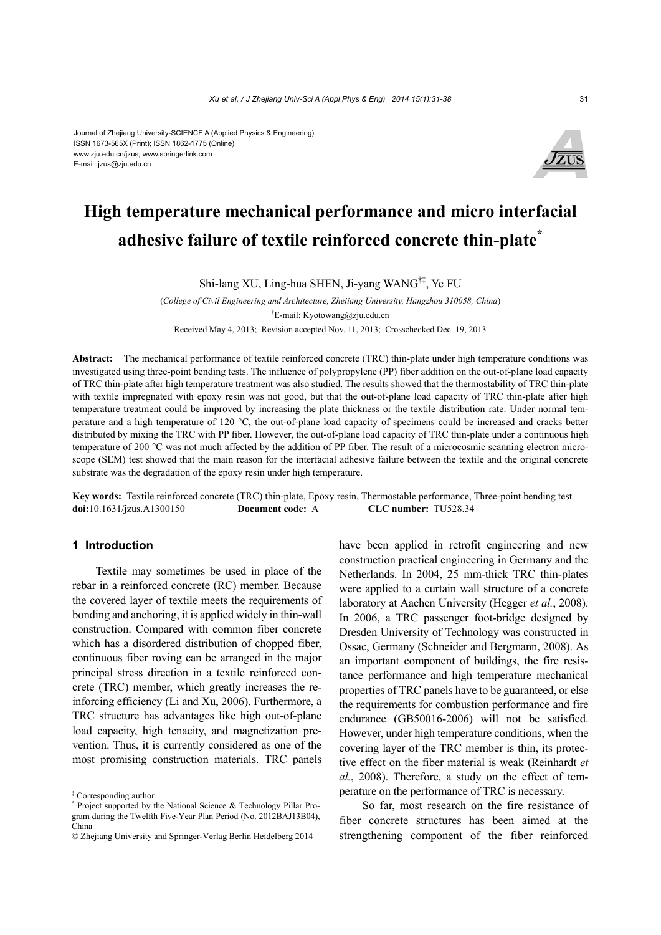#### Journal of Zhejiang University-SCIENCE A (Applied Physics & Engineering) ISSN 1673-565X (Print); ISSN 1862-1775 (Online) www.zju.edu.cn/jzus; www.springerlink.com E-mail: jzus@zju.edu.cn



# **High temperature mechanical performance and micro interfacial adhesive failure of textile reinforced concrete thin-plate\***

Shi-lang XU, Ling-hua SHEN, Ji-yang WANG†‡, Ye FU

(*College of Civil Engineering and Architecture, Zhejiang University, Hangzhou 310058, China*) † E-mail: Kyotowang@zju.edu.cn Received May 4, 2013; Revision accepted Nov. 11, 2013; Crosschecked Dec. 19, 2013

**Abstract:** The mechanical performance of textile reinforced concrete (TRC) thin-plate under high temperature conditions was investigated using three-point bending tests. The influence of polypropylene (PP) fiber addition on the out-of-plane load capacity of TRC thin-plate after high temperature treatment was also studied. The results showed that the thermostability of TRC thin-plate with textile impregnated with epoxy resin was not good, but that the out-of-plane load capacity of TRC thin-plate after high temperature treatment could be improved by increasing the plate thickness or the textile distribution rate. Under normal temperature and a high temperature of 120 °C, the out-of-plane load capacity of specimens could be increased and cracks better distributed by mixing the TRC with PP fiber. However, the out-of-plane load capacity of TRC thin-plate under a continuous high temperature of 200 °C was not much affected by the addition of PP fiber. The result of a microcosmic scanning electron microscope (SEM) test showed that the main reason for the interfacial adhesive failure between the textile and the original concrete substrate was the degradation of the epoxy resin under high temperature.

**Key words:** Textile reinforced concrete (TRC) thin-plate, Epoxy resin, Thermostable performance, Three-point bending test **doi:**10.1631/jzus.A1300150 **Document code:** A **CLC number:** TU528.34

## **1 Introduction**

Textile may sometimes be used in place of the rebar in a reinforced concrete (RC) member. Because the covered layer of textile meets the requirements of bonding and anchoring, it is applied widely in thin-wall construction. Compared with common fiber concrete which has a disordered distribution of chopped fiber, continuous fiber roving can be arranged in the major principal stress direction in a textile reinforced concrete (TRC) member, which greatly increases the reinforcing efficiency (Li and Xu, 2006). Furthermore, a TRC structure has advantages like high out-of-plane load capacity, high tenacity, and magnetization prevention. Thus, it is currently considered as one of the most promising construction materials. TRC panels have been applied in retrofit engineering and new construction practical engineering in Germany and the Netherlands. In 2004, 25 mm-thick TRC thin-plates were applied to a curtain wall structure of a concrete laboratory at Aachen University (Hegger *et al.*, 2008). In 2006, a TRC passenger foot-bridge designed by Dresden University of Technology was constructed in Ossac, Germany (Schneider and Bergmann, 2008). As an important component of buildings, the fire resistance performance and high temperature mechanical properties of TRC panels have to be guaranteed, or else the requirements for combustion performance and fire endurance (GB50016-2006) will not be satisfied. However, under high temperature conditions, when the covering layer of the TRC member is thin, its protective effect on the fiber material is weak (Reinhardt *et al.*, 2008). Therefore, a study on the effect of temperature on the performance of TRC is necessary.

So far, most research on the fire resistance of fiber concrete structures has been aimed at the strengthening component of the fiber reinforced

<sup>‡</sup> Corresponding author

<sup>\*</sup> Project supported by the National Science & Technology Pillar Program during the Twelfth Five-Year Plan Period (No. 2012BAJ13B04), China

<sup>©</sup> Zhejiang University and Springer-Verlag Berlin Heidelberg 2014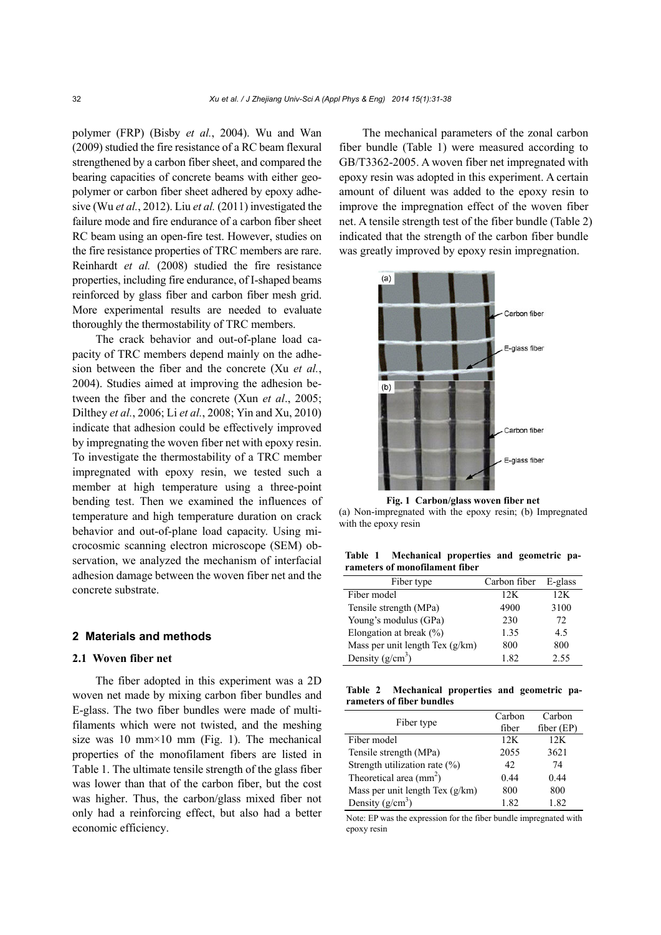polymer (FRP) (Bisby *et al.*, 2004). Wu and Wan (2009) studied the fire resistance of a RC beam flexural strengthened by a carbon fiber sheet, and compared the bearing capacities of concrete beams with either geopolymer or carbon fiber sheet adhered by epoxy adhesive (Wu *et al.*, 2012). Liu *et al.* (2011) investigated the failure mode and fire endurance of a carbon fiber sheet RC beam using an open-fire test. However, studies on the fire resistance properties of TRC members are rare. Reinhardt *et al.* (2008) studied the fire resistance properties, including fire endurance, of I-shaped beams reinforced by glass fiber and carbon fiber mesh grid. More experimental results are needed to evaluate thoroughly the thermostability of TRC members.

The crack behavior and out-of-plane load capacity of TRC members depend mainly on the adhesion between the fiber and the concrete (Xu *et al.*, 2004). Studies aimed at improving the adhesion between the fiber and the concrete (Xun *et al*., 2005; Dilthey *et al.*, 2006; Li *et al.*, 2008; Yin and Xu, 2010) indicate that adhesion could be effectively improved by impregnating the woven fiber net with epoxy resin. To investigate the thermostability of a TRC member impregnated with epoxy resin, we tested such a member at high temperature using a three-point bending test. Then we examined the influences of temperature and high temperature duration on crack behavior and out-of-plane load capacity. Using microcosmic scanning electron microscope (SEM) observation, we analyzed the mechanism of interfacial adhesion damage between the woven fiber net and the concrete substrate.

### **2 Materials and methods**

## **2.1 Woven fiber net**

The fiber adopted in this experiment was a 2D woven net made by mixing carbon fiber bundles and E-glass. The two fiber bundles were made of multifilaments which were not twisted, and the meshing size was 10 mm $\times$ 10 mm (Fig. 1). The mechanical properties of the monofilament fibers are listed in Table 1. The ultimate tensile strength of the glass fiber was lower than that of the carbon fiber, but the cost was higher. Thus, the carbon/glass mixed fiber not only had a reinforcing effect, but also had a better economic efficiency.

The mechanical parameters of the zonal carbon fiber bundle (Table 1) were measured according to GB/T3362-2005. A woven fiber net impregnated with epoxy resin was adopted in this experiment. A certain amount of diluent was added to the epoxy resin to improve the impregnation effect of the woven fiber net. A tensile strength test of the fiber bundle (Table 2) indicated that the strength of the carbon fiber bundle was greatly improved by epoxy resin impregnation.



(a) Non-impregnated with the epoxy resin; (b) Impregnated with the epoxy resin

**Table 1 Mechanical properties and geometric parameters of monofilament fiber**

| Fiber type                      | Carbon fiber | E-glass |
|---------------------------------|--------------|---------|
| Fiber model                     | 12K          | 12K     |
| Tensile strength (MPa)          | 4900         | 3100    |
| Young's modulus (GPa)           | 230          | 72      |
| Elongation at break $(\% )$     | 1.35         | 4.5     |
| Mass per unit length Tex (g/km) | 800          | 800     |
| Density $(g/cm3)$               | 1.82         | 2.55    |

**Table 2 Mechanical properties and geometric parameters of fiber bundles** 

| Fiber type                       | Carbon | Carbon       |
|----------------------------------|--------|--------------|
|                                  | fiber  | $fiber$ (EP) |
| Fiber model                      | 12K    | 12K          |
| Tensile strength (MPa)           | 2055   | 3621         |
| Strength utilization rate $(\%)$ | 42     | 74           |
| Theoretical area $\text{(mm}^2)$ | 0.44   | 0.44         |
| Mass per unit length Tex (g/km)  | 800    | 800          |
| Density $(g/cm^3)$               | 1.82   | 1.82         |

Note: EP was the expression for the fiber bundle impregnated with epoxy resin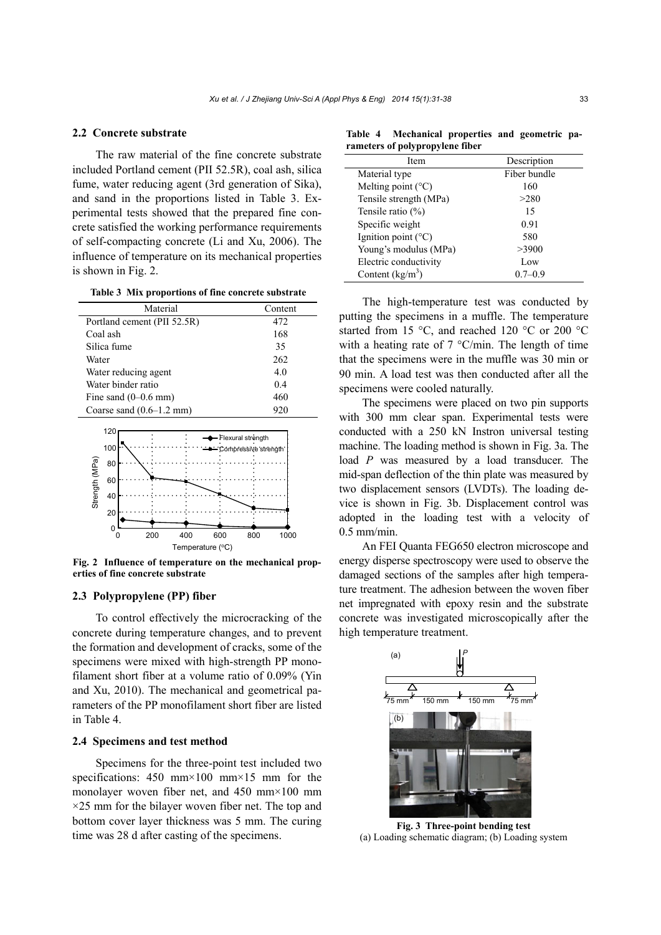## **2.2 Concrete substrate**

The raw material of the fine concrete substrate included Portland cement (PII 52.5R), coal ash, silica fume, water reducing agent (3rd generation of Sika), and sand in the proportions listed in Table 3. Experimental tests showed that the prepared fine concrete satisfied the working performance requirements of self-compacting concrete (Li and Xu, 2006). The influence of temperature on its mechanical properties is shown in Fig. 2.

**Table 3 Mix proportions of fine concrete substrate** 

| Material                    | Content |
|-----------------------------|---------|
| Portland cement (PII 52.5R) | 472     |
| Coal ash                    | 168     |
| Silica fume                 | 35      |
| Water                       | 262     |
| Water reducing agent        | 4.0     |
| Water binder ratio          | 0.4     |
| Fine sand $(0-0.6$ mm)      | 460     |
| Coarse sand $(0.6-1.2$ mm)  | 920     |



**Fig. 2 Influence of temperature on the mechanical properties of fine concrete substrate**

### **2.3 Polypropylene (PP) fiber**

To control effectively the microcracking of the concrete during temperature changes, and to prevent the formation and development of cracks, some of the specimens were mixed with high-strength PP monofilament short fiber at a volume ratio of 0.09% (Yin and Xu, 2010). The mechanical and geometrical parameters of the PP monofilament short fiber are listed in Table 4.

## **2.4 Specimens and test method**

Specimens for the three-point test included two specifications: 450 mm×100 mm×15 mm for the monolayer woven fiber net, and 450 mm×100 mm  $\times$ 25 mm for the bilayer woven fiber net. The top and bottom cover layer thickness was 5 mm. The curing time was 28 d after casting of the specimens.

**Table 4 Mechanical properties and geometric parameters of polypropylene fiber** 

| Description  |
|--------------|
| Fiber bundle |
| 160          |
| >280         |
| 15           |
| 0.91         |
| 580          |
| >3900        |
| Low          |
| $0.7 - 0.9$  |
|              |

The high-temperature test was conducted by putting the specimens in a muffle. The temperature started from 15 °C, and reached 120 °C or 200 °C with a heating rate of 7 °C/min. The length of time that the specimens were in the muffle was 30 min or 90 min. A load test was then conducted after all the specimens were cooled naturally.

The specimens were placed on two pin supports with 300 mm clear span. Experimental tests were conducted with a 250 kN Instron universal testing machine. The loading method is shown in Fig. 3a. The load *P* was measured by a load transducer. The mid-span deflection of the thin plate was measured by two displacement sensors (LVDTs). The loading device is shown in Fig. 3b. Displacement control was adopted in the loading test with a velocity of 0.5 mm/min.

An FEI Quanta FEG650 electron microscope and energy disperse spectroscopy were used to observe the damaged sections of the samples after high temperature treatment. The adhesion between the woven fiber net impregnated with epoxy resin and the substrate concrete was investigated microscopically after the high temperature treatment.



**Fig. 3 Three-point bending test**  (a) Loading schematic diagram; (b) Loading system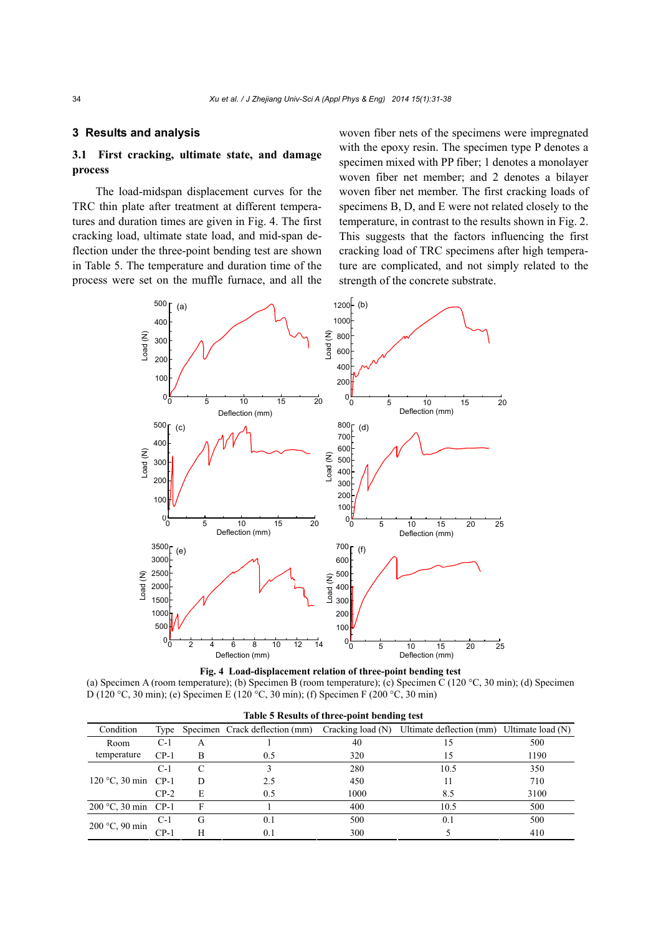## **3 Results and analysis**

## **3.1 First cracking, ultimate state, and damage process**

The load-midspan displacement curves for the TRC thin plate after treatment at different temperatures and duration times are given in Fig. 4. The first cracking load, ultimate state load, and mid-span deflection under the three-point bending test are shown in Table 5. The temperature and duration time of the process were set on the muffle furnace, and all the woven fiber nets of the specimens were impregnated with the epoxy resin. The specimen type P denotes a specimen mixed with PP fiber; 1 denotes a monolayer woven fiber net member; and 2 denotes a bilayer woven fiber net member. The first cracking loads of specimens B, D, and E were not related closely to the temperature, in contrast to the results shown in Fig. 2. This suggests that the factors influencing the first cracking load of TRC specimens after high temperature are complicated, and not simply related to the strength of the concrete substrate.



|  |  |  | Fig. 4 Load-displacement relation of three-point bending test |
|--|--|--|---------------------------------------------------------------|
|  |  |  |                                                               |

(a) Specimen A (room temperature); (b) Specimen B (room temperature); (c) Specimen C (120 °C, 30 min); (d) Specimen D (120 °C, 30 min); (e) Specimen E (120 °C, 30 min); (f) Specimen F (200 °C, 30 min)

| Condition              | Type   |               | Specimen Crack deflection (mm) | Cracking load (N) | Ultimate deflection (mm) | Ultimate load $(N)$ |
|------------------------|--------|---------------|--------------------------------|-------------------|--------------------------|---------------------|
| Room                   | C-1    | A             |                                | 40                |                          | 500                 |
| temperature            | $CP-1$ | в             | 0.5                            | 320               |                          | 1190                |
|                        | C-1    | $\mathcal{C}$ |                                | 280               | 10.5                     | 350                 |
| 120 °C, 30 min CP-1    |        | D             | 2.5                            | 450               |                          | 710                 |
|                        | $CP-2$ | E             | 0.5                            | 1000              | 8.5                      | 3100                |
| $200 °C$ , 30 min CP-1 |        | F             |                                | 400               | 10.5                     | 500                 |
| 200 °C, 90 min         | $C-1$  | G             | 0.1                            | 500               | 0.1                      | 500                 |
|                        | $CP-1$ | H             | 0.1                            | 300               |                          | 410                 |

**Table 5 Results of three-point bending test**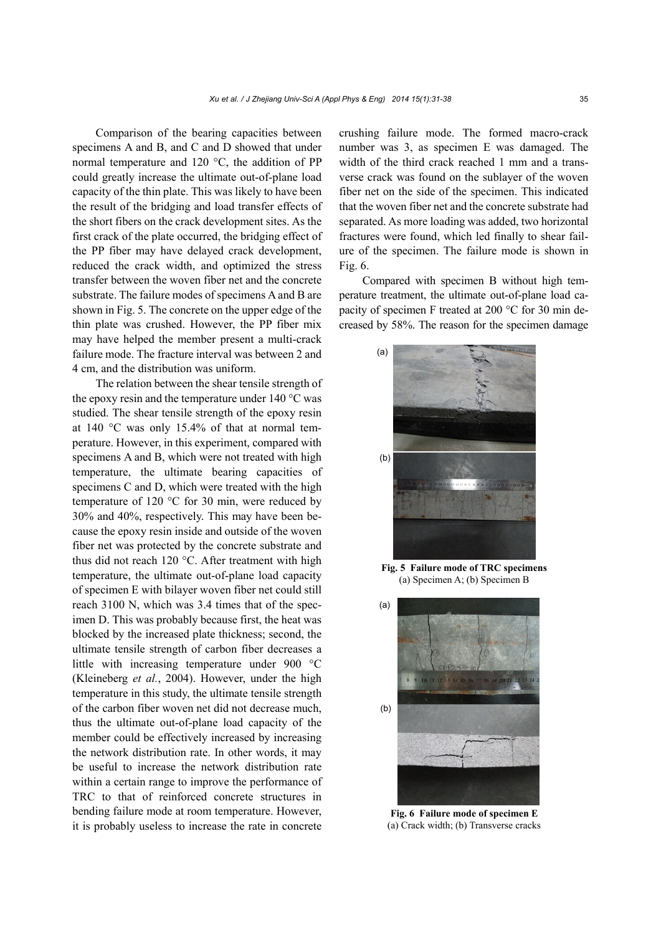Comparison of the bearing capacities between specimens A and B, and C and D showed that under normal temperature and 120 °C, the addition of PP could greatly increase the ultimate out-of-plane load capacity of the thin plate. This was likely to have been the result of the bridging and load transfer effects of the short fibers on the crack development sites. As the first crack of the plate occurred, the bridging effect of the PP fiber may have delayed crack development, reduced the crack width, and optimized the stress transfer between the woven fiber net and the concrete substrate. The failure modes of specimens A and B are shown in Fig. 5. The concrete on the upper edge of the thin plate was crushed. However, the PP fiber mix may have helped the member present a multi-crack failure mode. The fracture interval was between 2 and 4 cm, and the distribution was uniform.

The relation between the shear tensile strength of the epoxy resin and the temperature under 140 °C was studied. The shear tensile strength of the epoxy resin at 140 °C was only 15.4% of that at normal temperature. However, in this experiment, compared with specimens A and B, which were not treated with high temperature, the ultimate bearing capacities of specimens C and D, which were treated with the high temperature of 120 °C for 30 min, were reduced by 30% and 40%, respectively. This may have been because the epoxy resin inside and outside of the woven fiber net was protected by the concrete substrate and thus did not reach 120 °C. After treatment with high temperature, the ultimate out-of-plane load capacity of specimen E with bilayer woven fiber net could still reach 3100 N, which was 3.4 times that of the specimen D. This was probably because first, the heat was blocked by the increased plate thickness; second, the ultimate tensile strength of carbon fiber decreases a little with increasing temperature under 900 °C (Kleineberg *et al.*, 2004). However, under the high temperature in this study, the ultimate tensile strength of the carbon fiber woven net did not decrease much, thus the ultimate out-of-plane load capacity of the member could be effectively increased by increasing the network distribution rate. In other words, it may be useful to increase the network distribution rate within a certain range to improve the performance of TRC to that of reinforced concrete structures in bending failure mode at room temperature. However, it is probably useless to increase the rate in concrete crushing failure mode. The formed macro-crack number was 3, as specimen E was damaged. The width of the third crack reached 1 mm and a transverse crack was found on the sublayer of the woven fiber net on the side of the specimen. This indicated that the woven fiber net and the concrete substrate had separated. As more loading was added, two horizontal fractures were found, which led finally to shear failure of the specimen. The failure mode is shown in Fig. 6.

Compared with specimen B without high temperature treatment, the ultimate out-of-plane load capacity of specimen F treated at 200 °C for 30 min decreased by 58%. The reason for the specimen damage



**Fig. 5 Failure mode of TRC specimens**  (a) Specimen A; (b) Specimen B



**Fig. 6 Failure mode of specimen E**  (a) Crack width; (b) Transverse cracks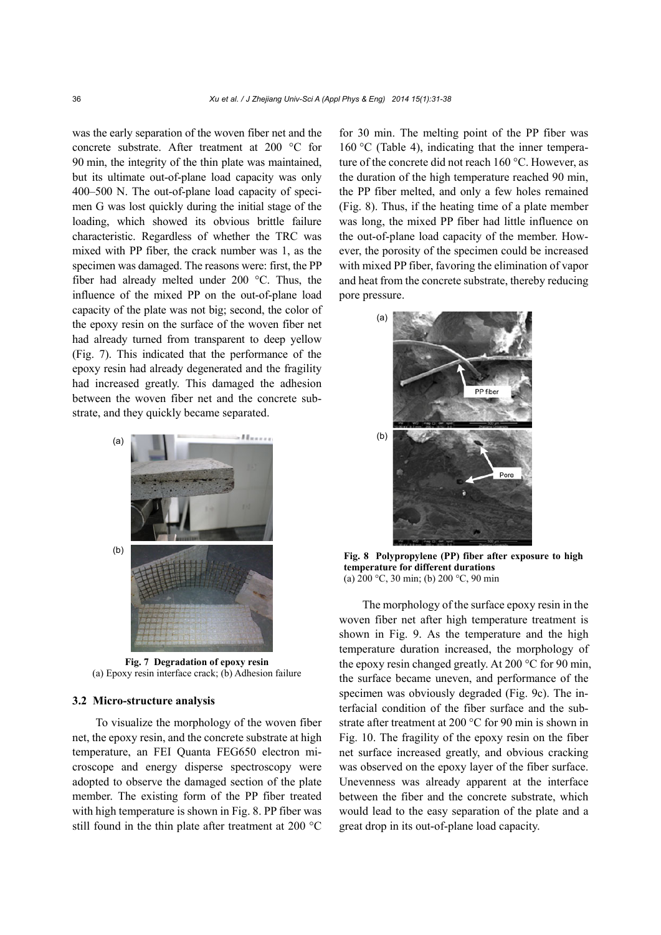was the early separation of the woven fiber net and the concrete substrate. After treatment at 200 °C for 90 min, the integrity of the thin plate was maintained, but its ultimate out-of-plane load capacity was only 400–500 N. The out-of-plane load capacity of specimen G was lost quickly during the initial stage of the loading, which showed its obvious brittle failure characteristic. Regardless of whether the TRC was mixed with PP fiber, the crack number was 1, as the specimen was damaged. The reasons were: first, the PP fiber had already melted under 200 °C. Thus, the influence of the mixed PP on the out-of-plane load capacity of the plate was not big; second, the color of the epoxy resin on the surface of the woven fiber net had already turned from transparent to deep yellow (Fig. 7). This indicated that the performance of the epoxy resin had already degenerated and the fragility had increased greatly. This damaged the adhesion between the woven fiber net and the concrete substrate, and they quickly became separated.



**Fig. 7 Degradation of epoxy resin**  (a) Epoxy resin interface crack; (b) Adhesion failure

### **3.2 Micro-structure analysis**

To visualize the morphology of the woven fiber net, the epoxy resin, and the concrete substrate at high temperature, an FEI Quanta FEG650 electron microscope and energy disperse spectroscopy were adopted to observe the damaged section of the plate member. The existing form of the PP fiber treated with high temperature is shown in Fig. 8. PP fiber was still found in the thin plate after treatment at 200 °C

for 30 min. The melting point of the PP fiber was 160 °C (Table 4), indicating that the inner temperature of the concrete did not reach 160 °C. However, as the duration of the high temperature reached 90 min, the PP fiber melted, and only a few holes remained (Fig. 8). Thus, if the heating time of a plate member was long, the mixed PP fiber had little influence on the out-of-plane load capacity of the member. However, the porosity of the specimen could be increased with mixed PP fiber, favoring the elimination of vapor and heat from the concrete substrate, thereby reducing pore pressure.



**Fig. 8 Polypropylene (PP) fiber after exposure to high temperature for different durations**  (a) 200 °C, 30 min; (b) 200 °C, 90 min

The morphology of the surface epoxy resin in the woven fiber net after high temperature treatment is shown in Fig. 9. As the temperature and the high temperature duration increased, the morphology of the epoxy resin changed greatly. At 200 °C for 90 min, the surface became uneven, and performance of the specimen was obviously degraded (Fig. 9c). The interfacial condition of the fiber surface and the substrate after treatment at 200 °C for 90 min is shown in Fig. 10. The fragility of the epoxy resin on the fiber net surface increased greatly, and obvious cracking was observed on the epoxy layer of the fiber surface. Unevenness was already apparent at the interface between the fiber and the concrete substrate, which would lead to the easy separation of the plate and a great drop in its out-of-plane load capacity.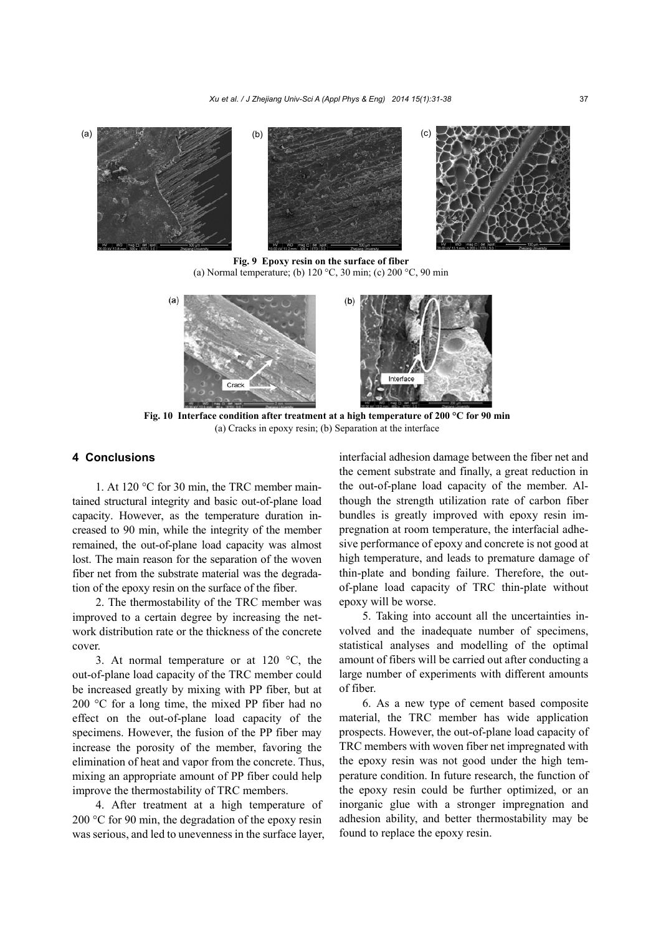

**Fig. 9 Epoxy resin on the surface of fiber**  (a) Normal temperature; (b) 120 °C, 30 min; (c) 200 °C, 90 min



**Fig. 10 Interface condition after treatment at a high temperature of 200 °C for 90 min**  (a) Cracks in epoxy resin; (b) Separation at the interface

## **4 Conclusions**

1. At 120 °C for 30 min, the TRC member maintained structural integrity and basic out-of-plane load capacity. However, as the temperature duration increased to 90 min, while the integrity of the member remained, the out-of-plane load capacity was almost lost. The main reason for the separation of the woven fiber net from the substrate material was the degradation of the epoxy resin on the surface of the fiber.

2. The thermostability of the TRC member was improved to a certain degree by increasing the network distribution rate or the thickness of the concrete cover.

3. At normal temperature or at 120 °C, the out-of-plane load capacity of the TRC member could be increased greatly by mixing with PP fiber, but at 200 °C for a long time, the mixed PP fiber had no effect on the out-of-plane load capacity of the specimens. However, the fusion of the PP fiber may increase the porosity of the member, favoring the elimination of heat and vapor from the concrete. Thus, mixing an appropriate amount of PP fiber could help improve the thermostability of TRC members.

4. After treatment at a high temperature of 200 °C for 90 min, the degradation of the epoxy resin was serious, and led to unevenness in the surface layer, interfacial adhesion damage between the fiber net and the cement substrate and finally, a great reduction in the out-of-plane load capacity of the member. Although the strength utilization rate of carbon fiber bundles is greatly improved with epoxy resin impregnation at room temperature, the interfacial adhesive performance of epoxy and concrete is not good at high temperature, and leads to premature damage of thin-plate and bonding failure. Therefore, the outof-plane load capacity of TRC thin-plate without epoxy will be worse.

5. Taking into account all the uncertainties involved and the inadequate number of specimens, statistical analyses and modelling of the optimal amount of fibers will be carried out after conducting a large number of experiments with different amounts of fiber.

6. As a new type of cement based composite material, the TRC member has wide application prospects. However, the out-of-plane load capacity of TRC members with woven fiber net impregnated with the epoxy resin was not good under the high temperature condition. In future research, the function of the epoxy resin could be further optimized, or an inorganic glue with a stronger impregnation and adhesion ability, and better thermostability may be found to replace the epoxy resin.